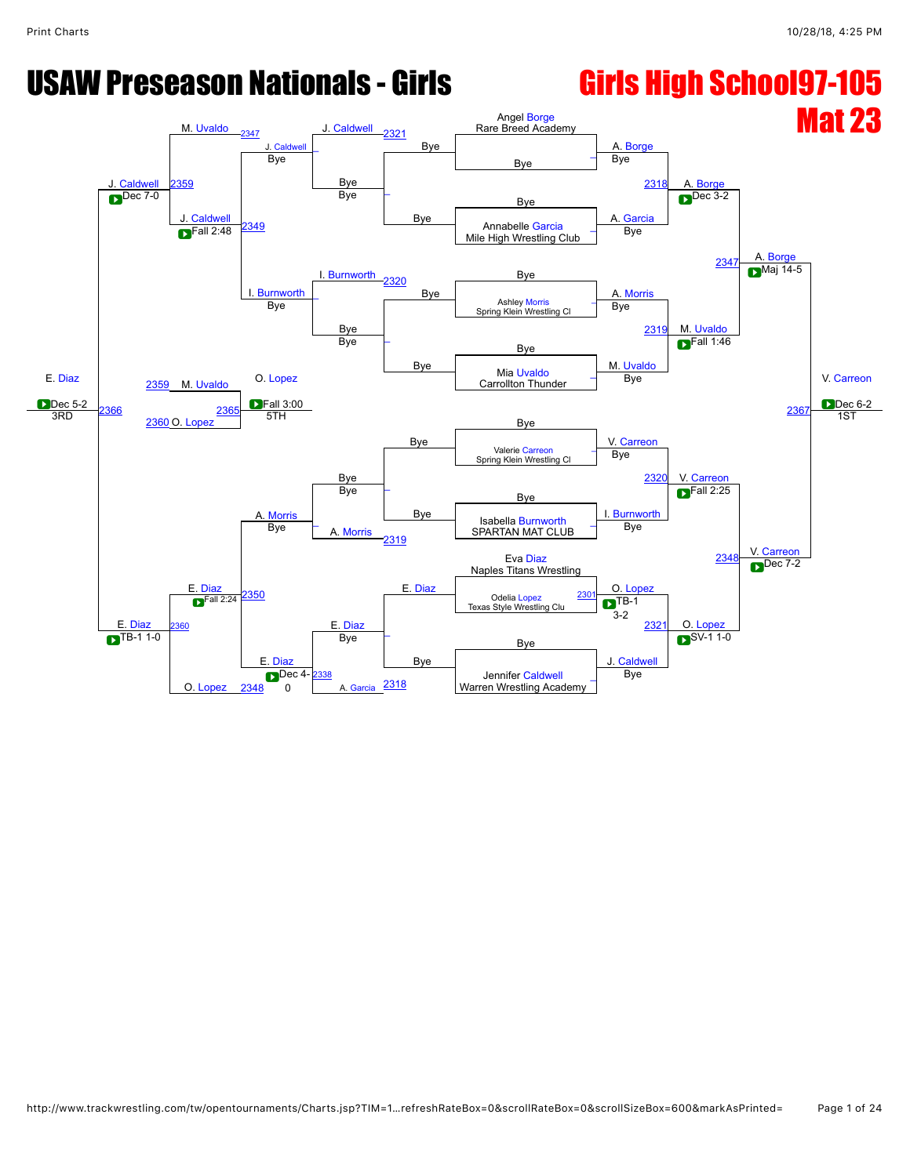# USAW Preseason Nationals - Girls **Girls High School97-105**

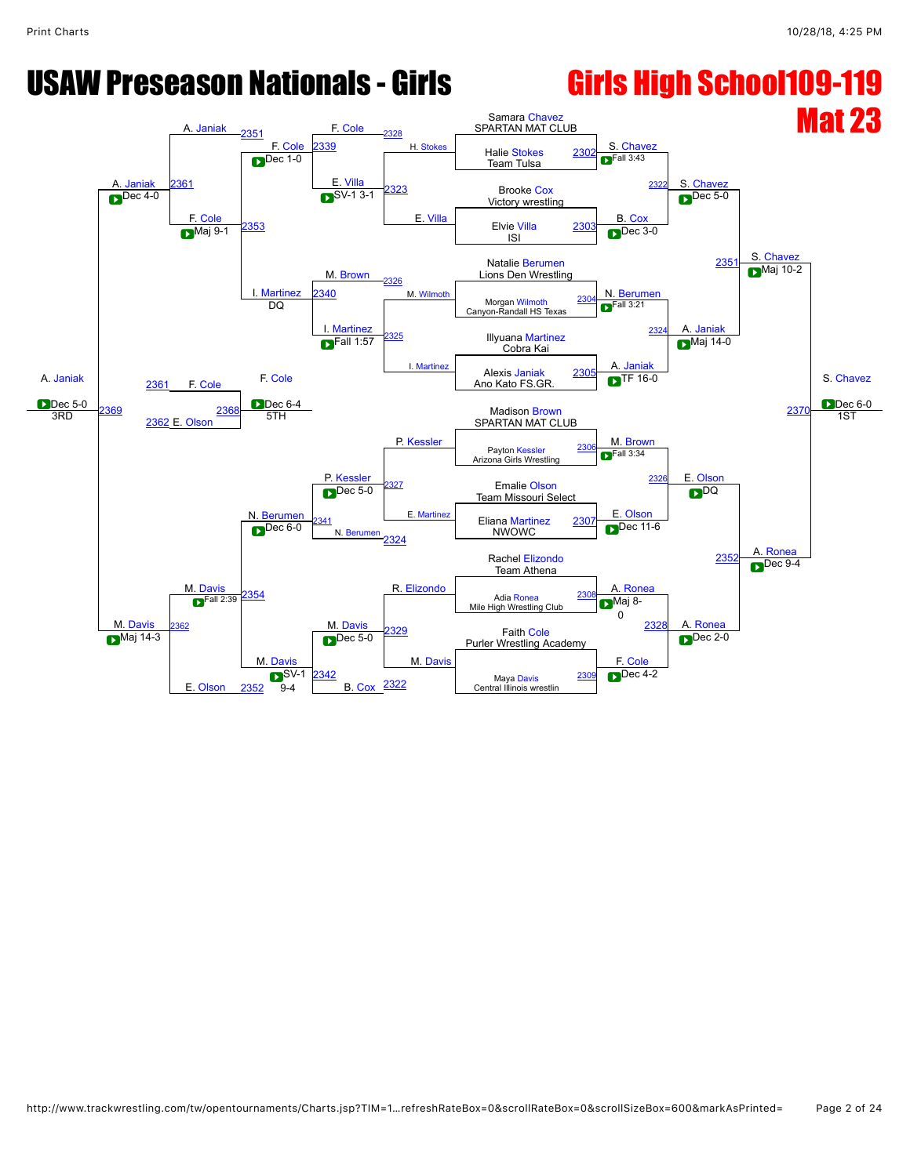### USAW Preseason Nationals - Girls **Girls High School109-119**

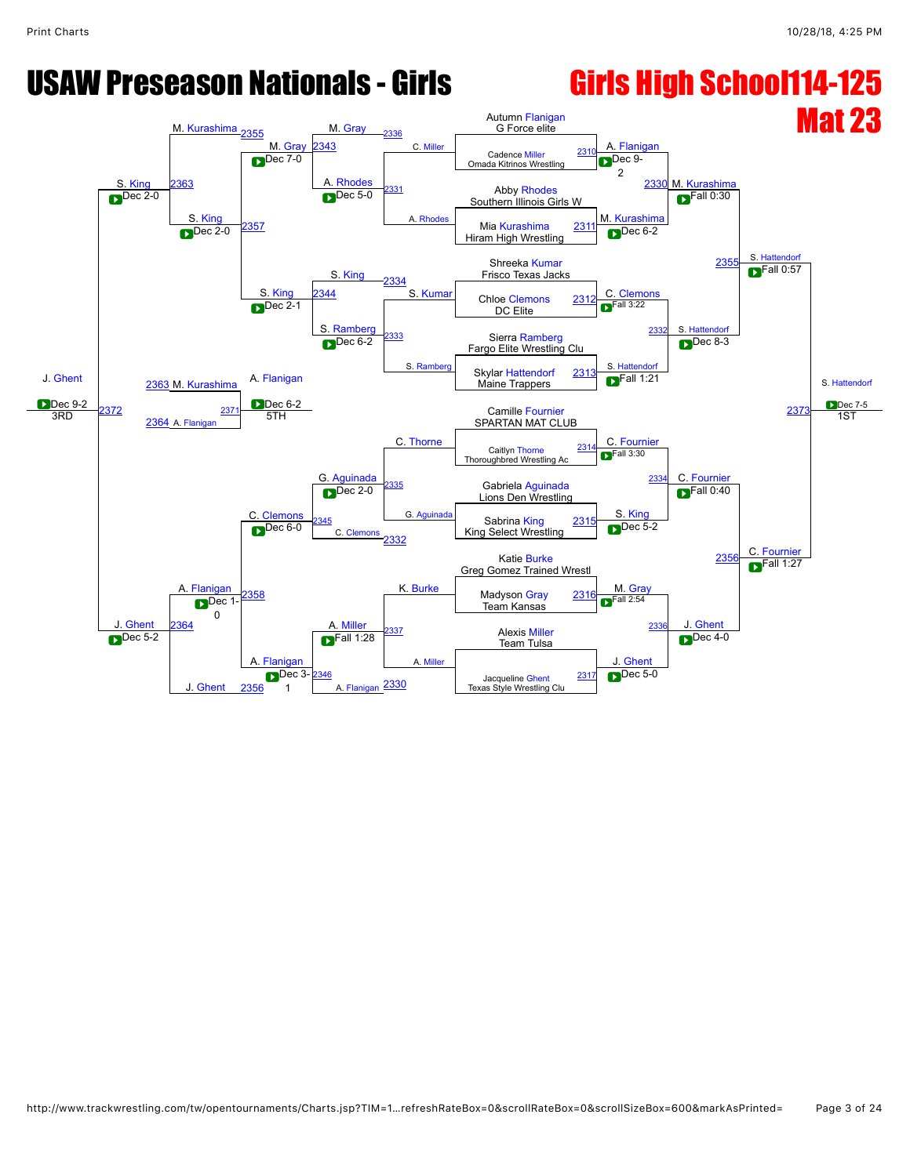### USAW Preseason Nationals - Girls **Girls High School114-125** Mat 23 J. [Ghent](javascript:viewProfile(1533294096)) Dec 9-2 S. [King](javascript:viewProfile(592906009))<br>
Dec 2-0 M. [Kurashima](javascript:viewProfile(1412510096)) [2355](javascript:openBoutSheet(17,) M. [Gray](javascript:viewProfile(1289985096)) <mark>M. [Gray](javascript:viewProfile(1289985096)) [2336](javascript:openBoutSheet(15,)</mark><br>2343 C. [Miller](javascript:viewProfile(1913983096)) Autumn [Flanigan](javascript:viewProfile(1049968096)) G Force elite A. [Flanigan](javascript:viewProfile(1049968096)) M. [Kurashima](javascript:viewProfile(1412510096)) S. [Hattendorf](javascript:viewProfile(111664096)) S. [Hattendorf](javascript:viewProfile(111664096)) Dec 7-5 1ST [2363](javascript:openBoutSheet(25,) Cadence [Miller](javascript:viewProfile(1913983096)) The Cadence Miller [2310](javascript:openBoutSheet(1,)<br>
2310<br>
2310<br>
2310<br>
2310<br>
2310<br>
2310  $A. Rhodes<sub>2331</sub>$  $A. Rhodes<sub>2331</sub>$  $A. Rhodes<sub>2331</sub>$  $A. Rhodes<sub>2331</sub>$  $A. Rhodes<sub>2331</sub>$ . Rho  $\blacksquare$ Dec 9-2 <u>S. King 2363</u> Abby Rhodes [2330](javascript:openBoutSheet(9,) M. Power 2330 M. Power 2330 M. Power 2530 M. Power 2530 M. Power 2530 M. Power 2530 M. Power 2530 M. Power 2530 M. Power 2530 M. Power 2530 M. Power 2530 M. Power 2530 M. Power 2530 M. Powe S. [King](javascript:viewProfile(592906009))<br>
Dec 2-0 [2357](javascript:openBoutSheet(23,) **Dec 5-0** M. [Kurashima](javascript:viewProfile(1412510096))  $F$ all 0:30 Mia [Kurashima](javascript:viewProfile(1412510096)) [2311](javascript:openBoutSheet(2,)<br>Dec 2-0 2357  $\sum$  Dec 2-0  $\frac{201}{100}$  Hiram High Wrestling S. [King](javascript:viewProfile(592906009)) **Dec** 6-2 Shreeka [Kumar](javascript:viewProfile(1530018096)) 235 Frisco Texas Jacks S. [King](javascript:viewProfile(592906009)) [2334](javascript:openBoutSheet(13,) S. [Kumar](javascript:viewProfile(1530018096)) Chloe [Clemons](javascript:viewProfile(23997096)) 2312 C. Clemons  $\blacksquare$ Fall 0:57 3. King  $\begin{array}{|l|l|}\n\hline\n2344 \end{array}$  $\begin{array}{|l|l|}\n\hline\n2344 \end{array}$  $\begin{array}{|l|l|}\n\hline\n2344 \end{array}$  S. Kumar Chloe [Clemons](javascript:viewProfile(23997096))  $\begin{array}{|l|l|}\n2312\n\end{array}$  $\begin{array}{|l|l|}\n2312\n\end{array}$  $\begin{array}{|l|l|}\n2312\n\end{array}$ DC Elite S. [Ramberg](javascript:viewProfile(908758132)) [2333](javascript:openBoutSheet(12,) S. Ramb  $F$ all 3:22 [2332](javascript:openBoutSheet(11,) S. [Hattendorf](javascript:viewProfile(111664096)) Dec 8-3 2363 M. [Kurashima](javascript:viewProfile(1412510096)) Sierra [Ramberg](javascript:viewProfile(908758132)) Sierra Ramberg<br>
Fargo Elite Wrestling Clu S. [Hattendorf](javascript:viewProfile(111664096)) [2373](javascript:openBoutSheet(29,) Skylar [Hattendorf](javascript:viewProfile(111664096)) [2313](javascript:openBoutSheet(4,) A. [Flanigan](javascript:viewProfile(1049968096)) Maine Trappers Dec 6-2 C. [Thorne](javascript:viewProfile(468530132))  $\blacksquare$ Fall 1:21 [2372](javascript:openBoutSheet(28,) [2364](javascript:openBoutSheet(26,) A. Flanig [2371](javascript:openBoutSheet(27,) STH Camille [Fournier](javascript:viewProfile(1551370096)) SPARTAN MAT CLUB G. [Aguinada](javascript:viewProfile(1554887096)) C. [Fournier](javascript:viewProfile(1551370096)) C. [Fournier](javascript:viewProfile(1551370096)) J. [Ghent](javascript:viewProfile(1533294096)) **[Flanigan](javascript:viewProfile(1049968096))** Caitlyn [Thorne](javascript:viewProfile(468530132)) Thoroughbred Wrestling A [2314](javascript:openBoutSheet(5,) C. [Clemons](javascript:viewProfile(23997096)) [2335](javascript:openBoutSheet(14,) G. Aguinad  $\blacksquare$ Fall 3:30 [2334](javascript:openBoutSheet(13,) Gabriela [Aguinada](javascript:viewProfile(1554887096)) Dec 2-0 S. [King](javascript:viewProfile(592906009))  $F$ all 0:40 C. Fournie [2345](javascript:openBoutSheet(21,) C. [Clemons](javascript:viewProfile(23997096)) Sabrina [King](javascript:viewProfile(592906009))  $\begin{array}{|c|c|c|c|c|}\n\hline\n\text{Dec 6-0} & \text{C. Clemons} & \text{Sabrina King} & \text{2315} \\
\hline\n\end{array}$  $\begin{array}{|c|c|c|c|c|}\n\hline\n\text{Dec 6-0} & \text{C. Clemons} & \text{Sabrina King} & \text{2315} \\
\hline\n\end{array}$  $\begin{array}{|c|c|c|c|c|}\n\hline\n\text{Dec 6-0} & \text{C. Clemons} & \text{Sabrina King} & \text{2315} \\
\hline\n\end{array}$ [2332](javascript:openBoutSheet(11,) Dec 5-2 [2356](javascript:openBoutSheet(20,) A. [Miller](javascript:viewProfile(42078076)) Katie [Burke](javascript:viewProfile(1018894096)) Greg Gomez Trained Wrestl [2358](javascript:openBoutSheet(24,) K. [Burke](javascript:viewProfile(1018894096)) M. [Gray](javascript:viewProfile(1289985096)) Madyson [Gray](javascript:viewProfile(1289985096))  $\blacksquare$ Fall 1:27 Dec 1- Dec 1- New York House Team Kansas 231 [2364](javascript:openBoutSheet(26,) Dec 1 0 [2337](javascript:openBoutSheet(16,) A. [Miller](javascript:viewProfile(42078076))  $F<sup>F</sup>$ all 2:54 [2336](javascript:openBoutSheet(15,) J. [Ghent](javascript:viewProfile(1533294096)) **Alexis [Miller](javascript:viewProfile(42078076))**<br>Team Tulsa Dec 5-2 **Team Tulsa Dec 5-2 Team Tulsa Dec 5-2 Team Tulsa** J. [Ghent](javascript:viewProfile(1533294096)) A. [Flanigan](javascript:viewProfile(1049968096))  $F$ all 1:28 J. [Ghent](javascript:viewProfile(1533294096))  $\overline{D}$ Dec 4-0 [2346](javascript:openBoutSheet(22,) A. [Flanigan](javascript:viewProfile(1049968096))  $\sum$ Dec 3- $\frac{2346}{2320}$  acqueline [Ghent](javascript:viewProfile(1533294096))  $\frac{2317}{2317}$ Texas Style Wrestling Clu [2317](javascript:openBoutSheet(8,) [2356](javascript:openBoutSheet(20,) Dec 3- $\overline{a}$  [2330](javascript:openBoutSheet(9,) **Dec 5-0**  $\text{Dec 9-2}$   $\text{2372}$   $\text{Dec 6-2}$   $\text{Dec 6-2}$   $\text{Comillo Fourier}$   $\text{2373}$   $\text{C}$  $\blacksquare$ Dec 2-1

### http://www.trackwrestling.com/tw/opentournaments/Charts.jsp?TIM=1…refreshRateBox=0&scrollRateBox=0&scrollSizeBox=600&markAsPrinted= Page 3 of 24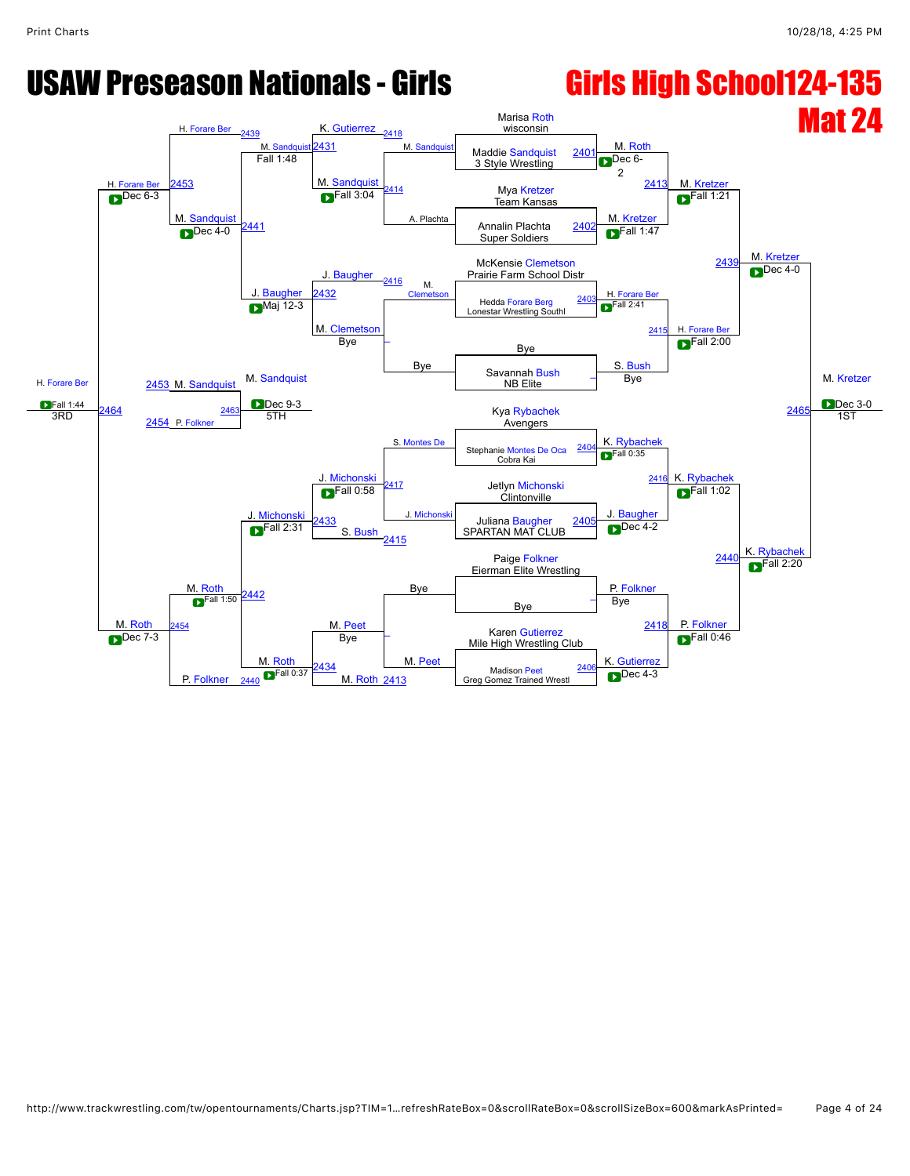### USAW Preseason Nationals - Girls **Girls High School124-135** Mat 24 H. [Forare Ber](javascript:viewProfile(793901132)) Fall 1:44 H. [Forare Ber](javascript:viewProfile(793901132)) H. [Forare Ber](javascript:viewProfile(793901132)) [2439](javascript:openBoutSheet(17,) M. [Sandquist](javascript:viewProfile(1536009096)) <mark>K. [Gutierrez](javascript:viewProfile(452325132)) <sub>[2418](javascript:openBoutSheet(15,)</sub></mark><br>2431 M. Sandquis Marisa [Roth](javascript:viewProfile(950841096)) wisconsin M. [Roth](javascript:viewProfile(950841096)) M. [Kretzer](javascript:viewProfile(69924009)) M. [Kretzer](javascript:viewProfile(69924009)) M. [Kretzer](javascript:viewProfile(69924009)) **Dec** 3-0 [2453](javascript:openBoutSheet(25,) M. Sandquist [2431](javascript:openBoutSheet(18,) M. [Sandquist](javascript:viewProfile(1536009096))<br> [2401](javascript:openBoutSheet(1,) Tall 1:48 Maddie Sandquist 2401 3 Style Wrestling M. [Sandquist](javascript:viewProfile(1536009096))<br>
<sub>[2414](javascript:openBoutSheet(10,)</sub> A. Plachta  $\blacksquare$ Dec 6-2 [2413](javascript:openBoutSheet(9,) Mya [Kretzer](javascript:viewProfile(69924009)) Dec 6-3 **Dec 6-3 Dec 6-3 Dec 6-3 Dec 6-3 Dec 6-3 Dec 8-4 Dec 8-4 Dec 8-4 Dec** 8-4 **Dec** 8-4 **Dec** 8-4 **Dec** 8-4 **Dec** 8-4 **Dec** 8-4 **Dec** 8-4 **Dec** 8-4 **Dec** 8-4 **Dec** 8-4 **Dec** 8-4 **Dec** 8-4 **Dec** 8-4 **Dec** M. [Sandquist](javascript:viewProfile(1536009096))<br>
Dec 4-0  $F$ all 3:04 M. Kretze  $F$ all 1:21 <u>Dec 4-0</u><br> [2402](javascript:openBoutSheet(2,) Dec 4-0 2441  $\sum$  Dec 4-0  $\frac{2.762}{2}$ J. [Baugher](javascript:viewProfile(1278750096))  $P<sup>Fall 1:47</sup>$ McKensie [Clemetson](javascript:viewProfile(416369096)) 243 Prairie Farm School Distr J. [Baugher](javascript:viewProfile(1278750096))<br>Maj 12-3  $\frac{2416}{\text{Cleme}}$  $\frac{2416}{\text{Cleme}}$  $\frac{2416}{\text{Cleme}}$ H. [Forare Ber](javascript:viewProfile(793901132))  $\blacksquare$ Dec 4-0 [2432](javascript:openBoutSheet(19,) Hedda [Forare Berg](javascript:viewProfile(793901132)) [2403](javascript:openBoutSheet(3,) Maj 12-3 Lonestar Wrestling Southl<br>
Lonestar Wrestling Southl M. Clemets<br>Bye Bye  $F<sup>Fall 2:41</sup>$ [2415](javascript:openBoutSheet(11,) H. [Forare Ber](javascript:viewProfile(793901132)) 2453 M. [Sandquist](javascript:viewProfile(1536009096)) Bye – Bye S. [Bush](javascript:viewProfile(1158736096))  $\blacksquare$ Fall 2:00 246 Savannah [Bush](javascript:viewProfile(1158736096)) NB Elite M. [Sandquist](javascript:viewProfile(1536009096)) Dec 9-3 S. [Montes De](javascript:viewProfile(865213132)) Bye [2464](javascript:openBoutSheet(28,) [2454](javascript:openBoutSheet(26,) P. Folkn <u>[2463](javascript:openBoutSheet(27,) Mars (2008)</u><br>24 Kya [Rybachek](javascript:viewProfile(1085941096))<br>24 Avengers  $\begin{array}{c|c}\n\text{3RD} & \text{5TL} \\
\hline\n\end{array}$  2454 P. Folkner 5TH Avengers **Michonski** K. [Rybachek](javascript:viewProfile(1085941096)) K. [Rybachek](javascript:viewProfile(1085941096)) 1ST M. [Roth](javascript:viewProfile(950841096)) M. [Roth](javascript:viewProfile(950841096)) Stephanie [Montes De Oca](javascript:viewProfile(865213132)) Cobra Kai [2404](javascript:openBoutSheet(5,) J. [Michonski](javascript:viewProfile(570578009)) [2417](javascript:openBoutSheet(14,) J. Michonsk  $\blacksquare$ Fall 0:35 [2416](javascript:openBoutSheet(13,) Jetlyn [Michonski](javascript:viewProfile(570578009)) Clintonville J. [Baugher](javascript:viewProfile(1278750096)) **PFall 1:02** K. [Rybachek](javascript:viewProfile(1085941096)) [2433](javascript:openBoutSheet(21,) S. [Bush](javascript:viewProfile(1158736096))  $\text{P}^{\text{Fall 2:31}}$   $\text{P}^{\text{2433}}$  S. Bush  $\text{O}$  S. Section SPARTAN MAT CLUB [2415](javascript:openBoutSheet(11,)  $Dec 4-2$ [2440](javascript:openBoutSheet(20,) M. [Peet](javascript:viewProfile(704813096)) Paige [Folkner](javascript:viewProfile(955124096)) Eierman Elite Wrestling [2442](javascript:openBoutSheet(24,) Bye Bye P. [Folkner](javascript:viewProfile(955124096))  $\blacksquare$ Fall 2:20 Bye [\\_](javascript:openBoutSheet(7,) [2454](javascript:openBoutSheet(26,)  $\blacksquare$ Fall 1:50  $\overline{\phantom{a}}$ M. [Peet](javascript:viewProfile(704813096)) Bye [2418](javascript:openBoutSheet(15,) P. [Folkner](javascript:viewProfile(955124096)) Karen [Gutierrez](javascript:viewProfile(452325132)) Dec 7-3 **Dec 7-3** Bye **Figure 1** Mile High Wrestling Club **D** P. [Folkner](javascript:viewProfile(955124096)) M. [Roth](javascript:viewProfile(950841096)) Bye K. [Gutierrez](javascript:viewProfile(452325132))  $F$ all 0:46 [2434](javascript:openBoutSheet(22,) Madison [Peet](javascript:viewProfile(704813096))  $\overline{ }$  Madison Peet  $\overline{ }$  Madison Peet  $\overline{ }$  Madison Peet  $\overline{ }$  M. [Roth](javascript:viewProfile(950841096)) 2413 Greg Gomez Trained Wrestl Madison Peet<br> [2413](javascript:openBoutSheet(9,) Greg Gomez Trained Wrestl<br>
2413 Dec 4-3 [2406](javascript:openBoutSheet(8,) [2440](javascript:openBoutSheet(20,)  $F$ all 0:37  $\sum$ Fall 1:44  $\sum$ <sub>2464</sub>  $\sum$  Dec 9-3  $F$ all 0:58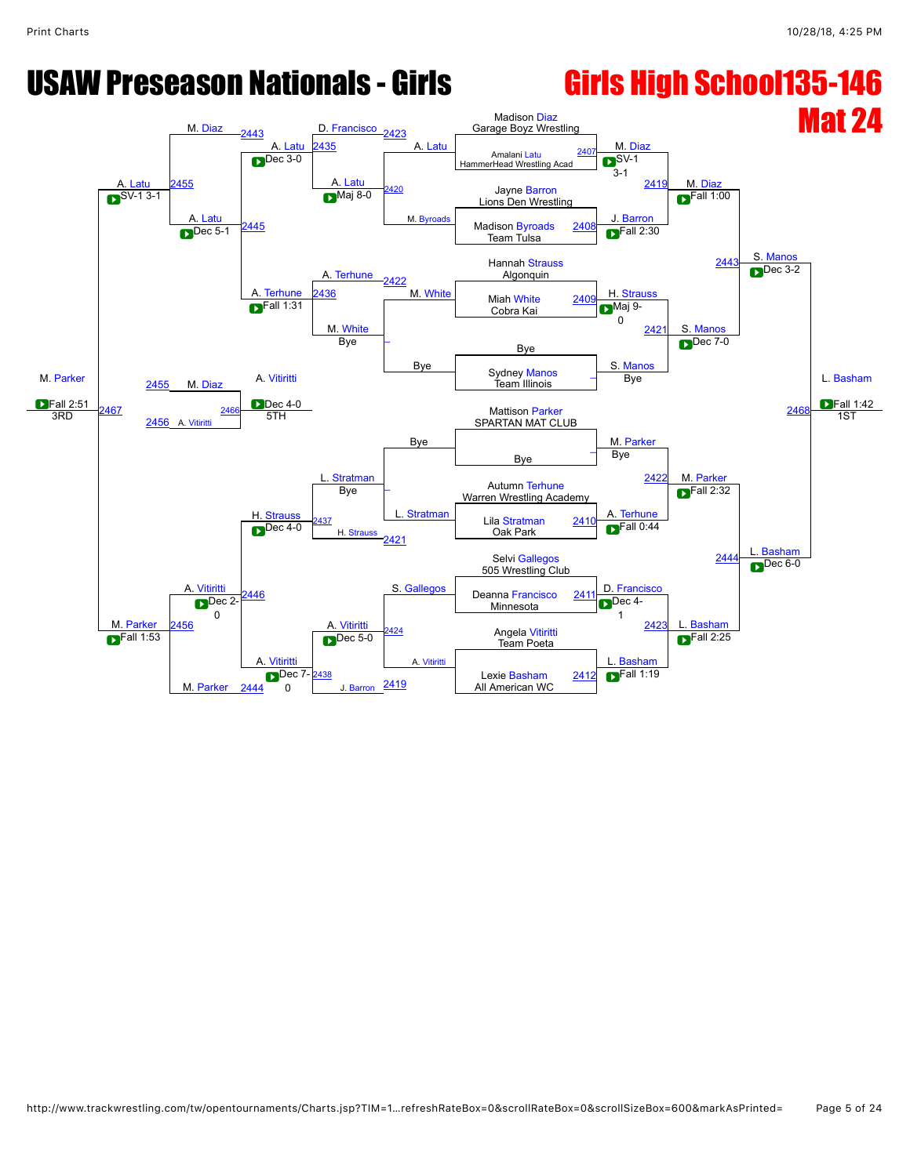### USAW Preseason Nationals - Girls **Girls High School135-146** Mat 24 M. [Parker](javascript:viewProfile(947231096))  $\overline{\text{Fall 2:51}}$ <br>3RD A. [Latu](javascript:viewProfile(1169784096)) M. [Diaz](javascript:viewProfile(3085071)) [2443](javascript:openBoutSheet(17,) A. [Latu](javascript:viewProfile(1169784096)) <mark>D. [Francisco](javascript:viewProfile(104982009)) <sub>[2423](javascript:openBoutSheet(15,)</sub></mark><br>2435 A. [Latu](javascript:viewProfile(1169784096)) Madison [Diaz](javascript:viewProfile(3085071)) Garage Boyz Wrestling M. [Diaz](javascript:viewProfile(3085071)) M. [Diaz](javascript:viewProfile(3085071)) S. [Manos](javascript:viewProfile(1814791009)) L. [Basham](javascript:viewProfile(8644013))  $F$ all 1:42 [2455](javascript:openBoutSheet(25,) **[2435](javascript:openBoutSheet(18,)** A. [Latu](javascript:viewProfile(1169784096)) Amalani Latu The Latter Extra Extra Contract Medicine of Amalani Latu [2407](javascript:openBoutSheet(1,)<br>
HammerHead Wrestling Acad A. [Latu](javascript:viewProfile(1169784096)) [2420](javascript:openBoutSheet(10,) M. Byroa  $\mathbb{R}^{\mathsf{SV-1}}$ 3-1 Jayne Barron [2419](javascript:openBoutSheet(9,)  $\sum_{\text{Na}j}$  SV-1 3-1 A. [Latu](javascript:viewProfile(1169784096)) [2445](javascript:openBoutSheet(23,) **Maj 8-0 [Barron](javascript:viewProfile(1552887096))**  $F$ all 1:00 method is a contract of the method of the Madison [Byroads](javascript:viewProfile(1307118096)) [2408](javascript:openBoutSheet(2,) **Team Tulsa** A. [Terhune](javascript:viewProfile(649537096))  $F$ all 2:30 Hannah [Strauss](javascript:viewProfile(1941727009)) 244 Algonquin A. [Terhune](javascript:viewProfile(649537096)) [2422](javascript:openBoutSheet(13,) M. [White](javascript:viewProfile(466374132)) Miah White 2409 H. [Strauss](javascript:viewProfile(1941727009))  $\blacksquare$ Dec 3-2 436 M. [White](javascript:viewProfile(466374132)) Miah White Cobra Kai **Communication Care Care Million Communication Care Million Cobra Kai** M. [White](javascript:viewProfile(466374132))<br>Bye Bye  $M$ aj 9-0 [2421](javascript:openBoutSheet(11,) S. [Manos](javascript:viewProfile(1814791009)) M. [Diaz](javascript:viewProfile(3085071)) Bye – Bye S. [Manos](javascript:viewProfile(1814791009))  $\blacksquare$ Dec 7-0 **246** [2455](javascript:openBoutSheet(25,) A. [Vitiritti](javascript:viewProfile(1841724009)) **A. Sydney [Manos](javascript:viewProfile(1814791009))** Team Illinois Dec 4-0 Bye Bye [2467](javascript:openBoutSheet(28,) [2456](javascript:openBoutSheet(26,) A. [Vitiritti](javascript:viewProfile(1841724009))  $\frac{2466}{5}$  $\frac{2466}{5}$  $\frac{2466}{5}$  Mattison [Parker](javascript:viewProfile(947231096)) SPARTAN MAT CLUB [Stratman](javascript:viewProfile(1492463096)) M. [Parker](javascript:viewProfile(947231096)) M. [Parker](javascript:viewProfile(947231096)) 1ST M. [Parker](javascript:viewProfile(947231096)) A. [Vitiritti](javascript:viewProfile(1841724009)) Bye [\\_](javascript:openBoutSheet(5,) H. [Strauss](javascript:viewProfile(1941727009))  $\overline{\phantom{a}}$ **[Stratman](javascript:viewProfile(1492463096))** Bye  $242$ Autumn [Terhune](javascript:viewProfile(649537096)) Warren Wrestling Academy A. [Terhune](javascript:viewProfile(649537096))  $\blacksquare$ Fall 2:32 **[Basham](javascript:viewProfile(8644013))** [2437](javascript:openBoutSheet(21,)  $H. S<sub>th</sub>$ <u>Chauss 2437</u><br>Dec 4-0 [2410](javascript:openBoutSheet(6,)<br>Cor Bark Back Chause Cor Dec 4-0  $\bigcirc$ Dec 4-0  $\begin{array}{|c|c|c|c|c|c|c|c|c|} \hline \text{D} & \text{Re} & \text{Re} & \text{Re} \end{array}$  H. Strauss  $\bigcirc$  and  $\bigcirc$  Oak Park [2421](javascript:openBoutSheet(11,)  $F$ all 0:44 244 A. [Vitiritti](javascript:viewProfile(1841724009)) Selvi [Gallegos](javascript:viewProfile(665776132)) 505 Wrestling Club [2446](javascript:openBoutSheet(24,) S. [Gallegos](javascript:viewProfile(665776132)) Deanna [Francisco](javascript:viewProfile(104982009)) 2411 D. Francisco  $\blacksquare$ Dec 6-0  $\sum$ Dec 2- $\frac{2+1}{1}$  Minnesota  $241$ 456 Dec 2-0 424 A. [Vitiritti](javascript:viewProfile(1841724009))  $\overline{D}$ Dec 4-1 [2423](javascript:openBoutSheet(15,) L. [Basham](javascript:viewProfile(8644013)) Angela [Vitiritti](javascript:viewProfile(1841724009))<br>Team Poeta Fall 1:53  $\bigcup$  Dec 5-0  $\bigcup$  Dec 5-0  $\bigcup$  Team Poeta M. [Parker](javascript:viewProfile(947231096)) A. [Vitiritti](javascript:viewProfile(1841724009))  $\blacksquare$ Dec 5-0 L. [Basham](javascript:viewProfile(8644013))  $F$ all 2:25 [2438](javascript:openBoutSheet(22,) **Barron** Lexie [Basham](javascript:viewProfile(8644013)) All American WC [2412](javascript:openBoutSheet(8,)  $2AA$ Dec 7-2438 2410 Lexie Basham 2412 2 0 J. Barron [2419](javascript:openBoutSheet(9,)  $F$ all 1:19  $\text{P}$  Fall 2:51  $\text{P}$  2467  $\text{P}$  2468  $\text{P}$  Dec 4-0  $\sum$ Dec 5-1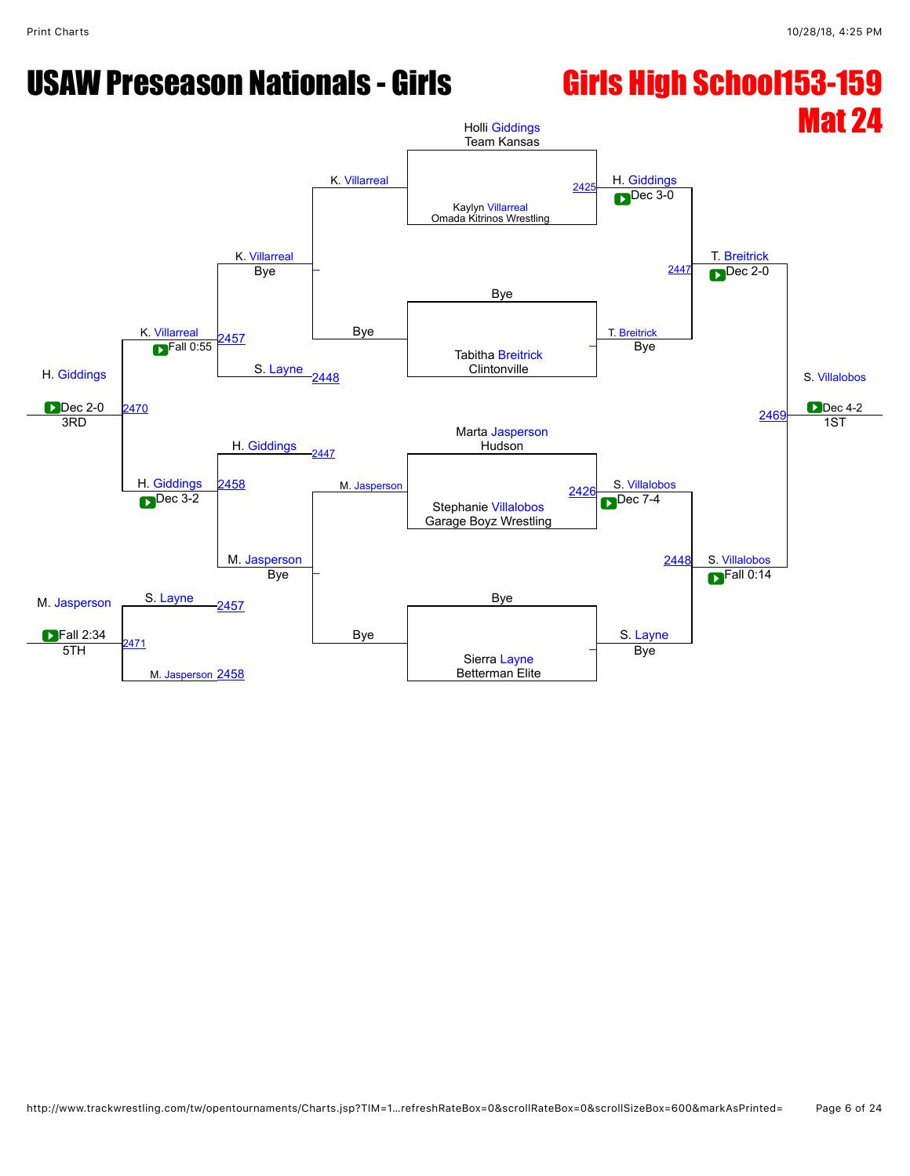### USAW Preseason Nationals - Girls **Girls High School153-159**

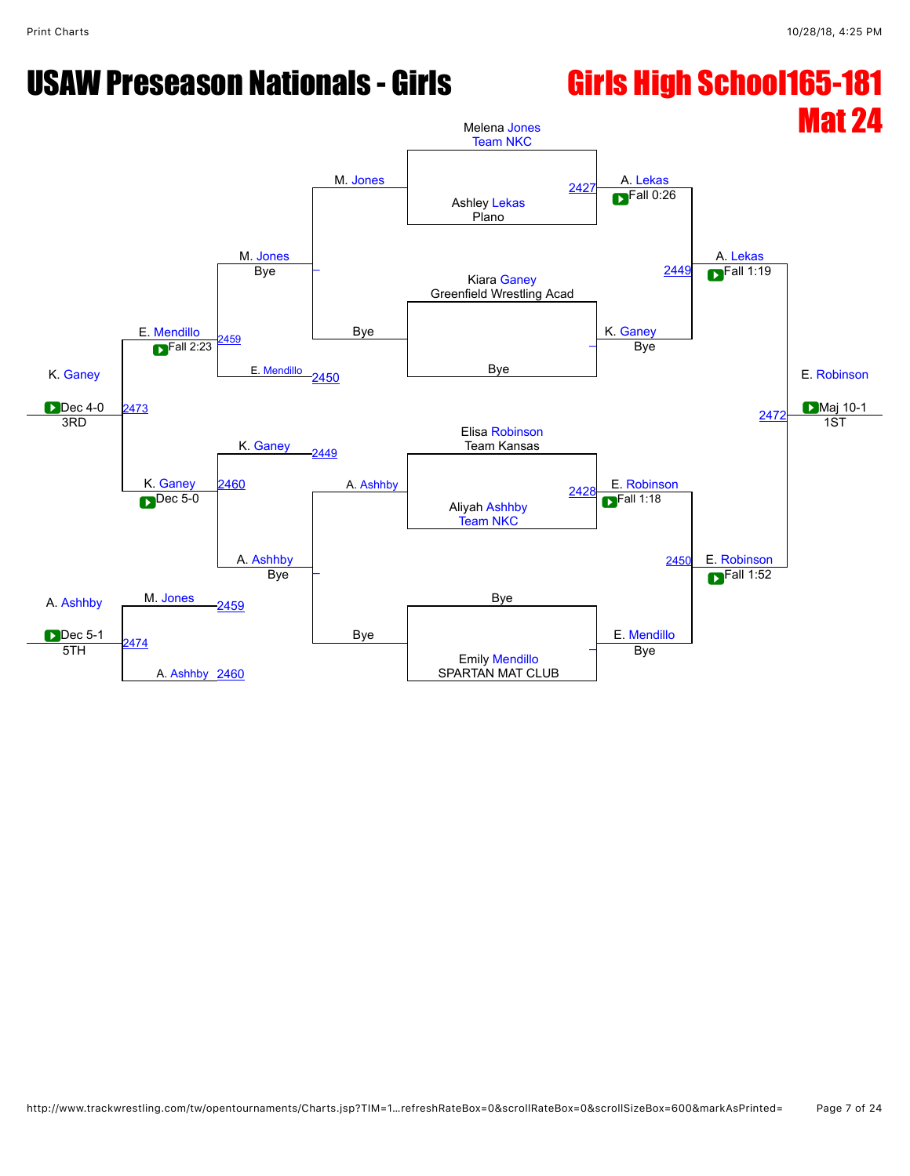### USAW Preseason Nationals - Girls **Girls High School165-181**

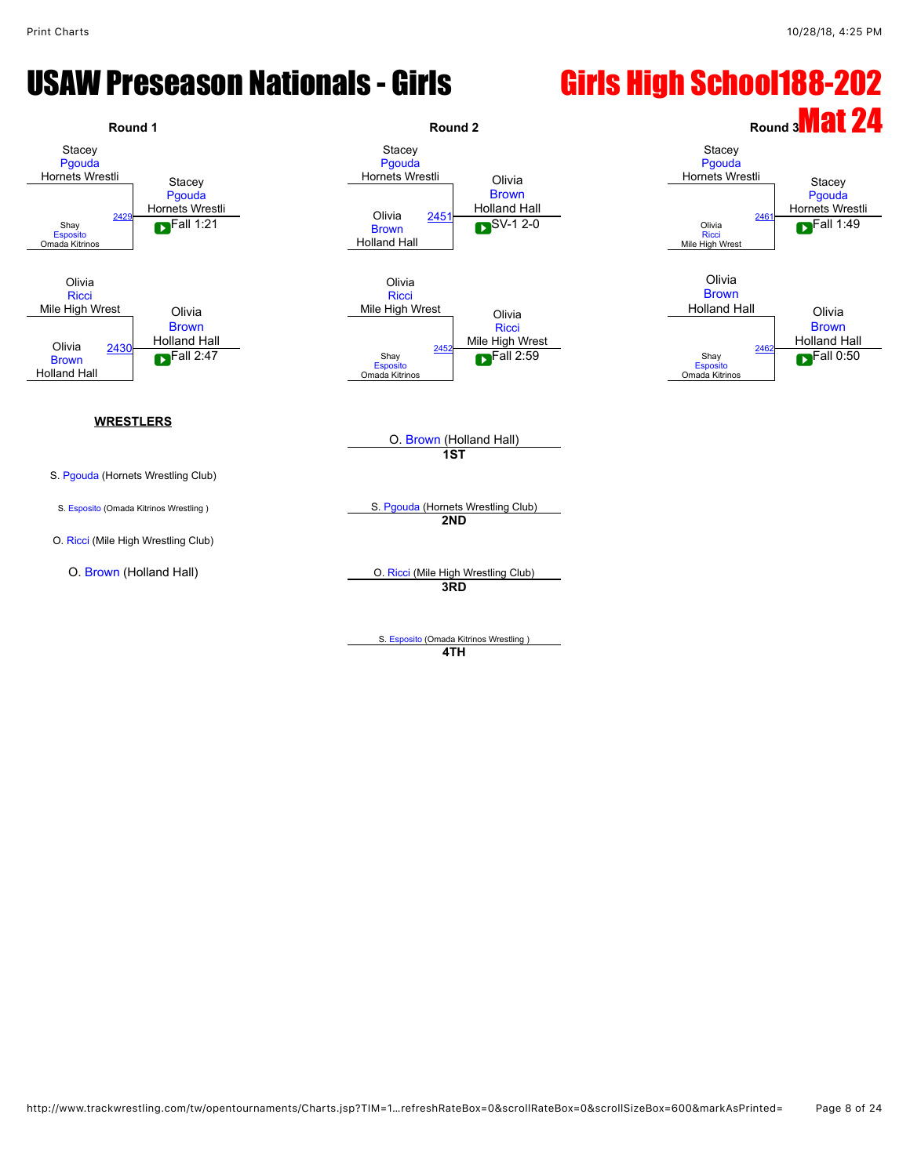### USAW Preseason Nationals - Girls **Girls High School188-202**







S. [Pgouda](javascript:viewProfile(256760132)) (Hornets Wrestling Club)

O. [Ricci](javascript:viewProfile(1169786096)) (Mile High Wrestling Club)

S. [Esposito](javascript:viewProfile(651000132)) (Omada Kitrinos Wrestling ) S. [Pgouda](javascript:viewProfile(256760132)) (Hornets Wrestling Club)

O. [Brown](javascript:viewProfile(1816045096)) (Holland Hall)

**1ST**

**2ND**

O. [Brown](javascript:viewProfile(1816045096)) (Holland Hall) C. [Ricci](javascript:viewProfile(1169786096)) (Mile High Wrestling Club) **3RD**

> S. [Esposito](javascript:viewProfile(651000132)) (Omada Kitrinos Wrestling ) **4TH**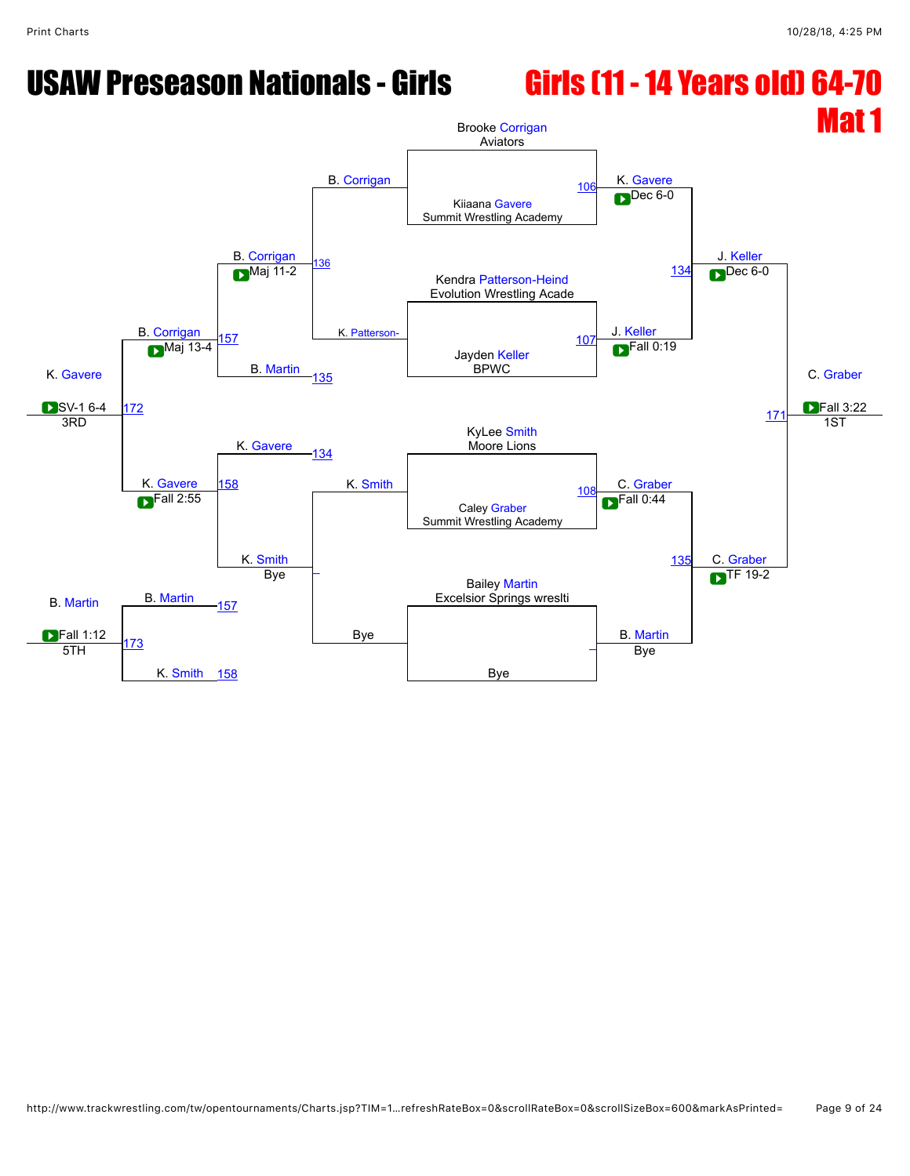### USAW Preseason Nationals - Girls Girls (11 - 14 Years old) 64-70

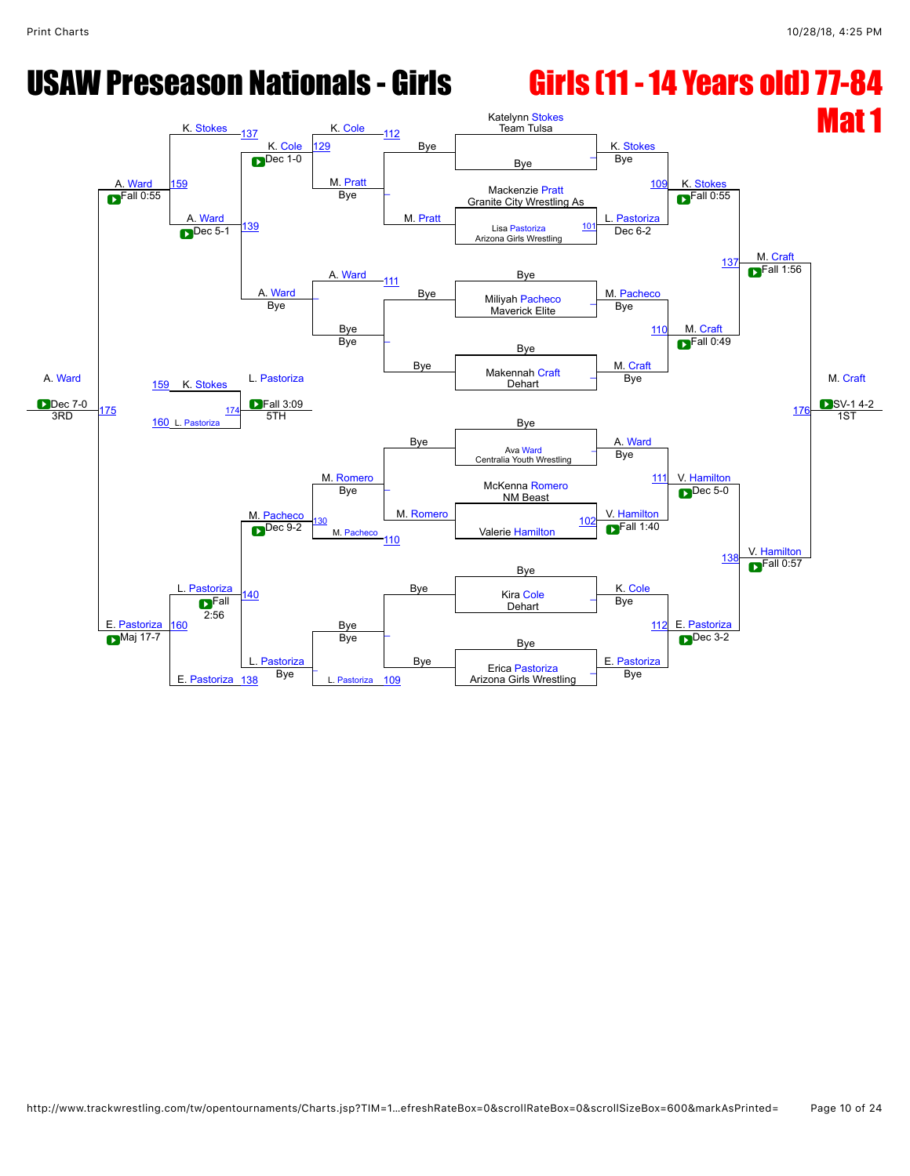### USAW Preseason Nationals - Girls Girls (11 - 14 Years old) 77-84

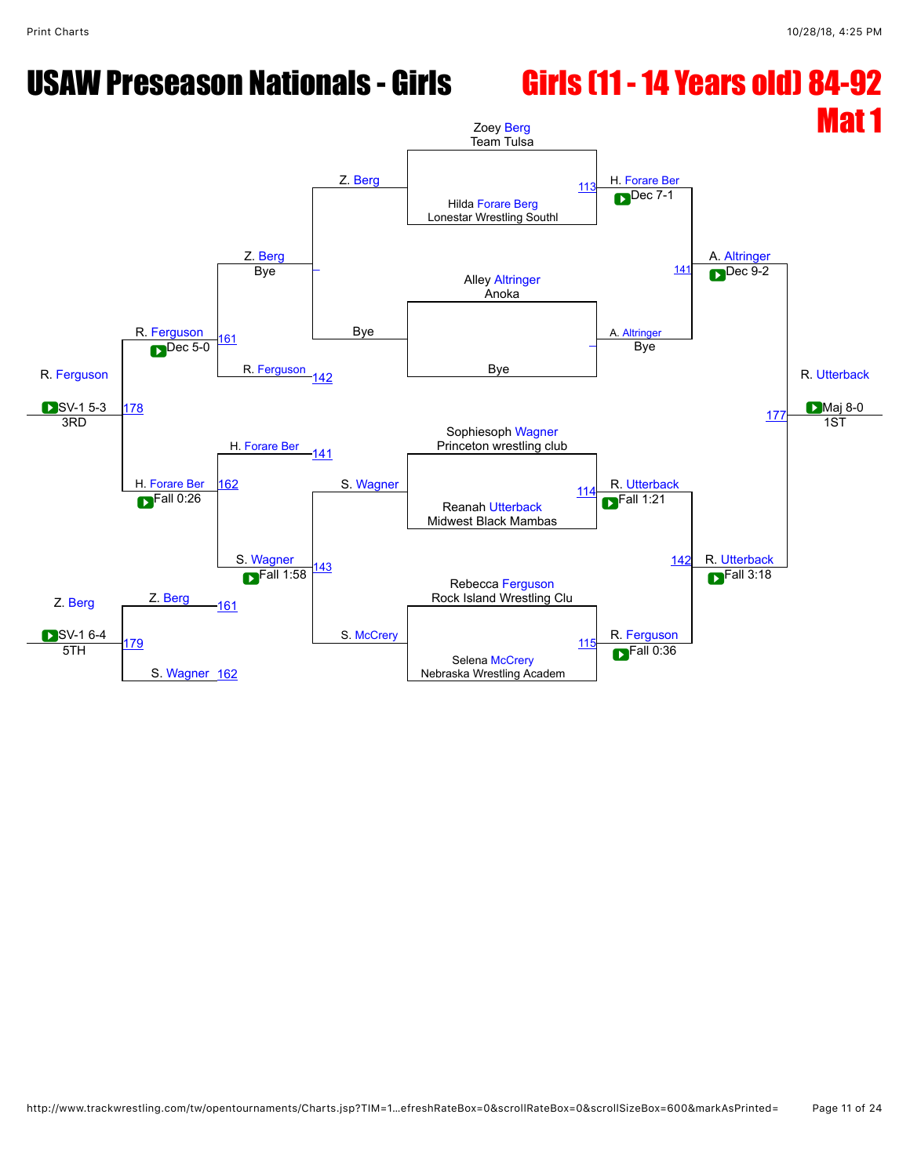## USAW Preseason Nationals - Girls Girls (11 - 14 Years old) 84-92

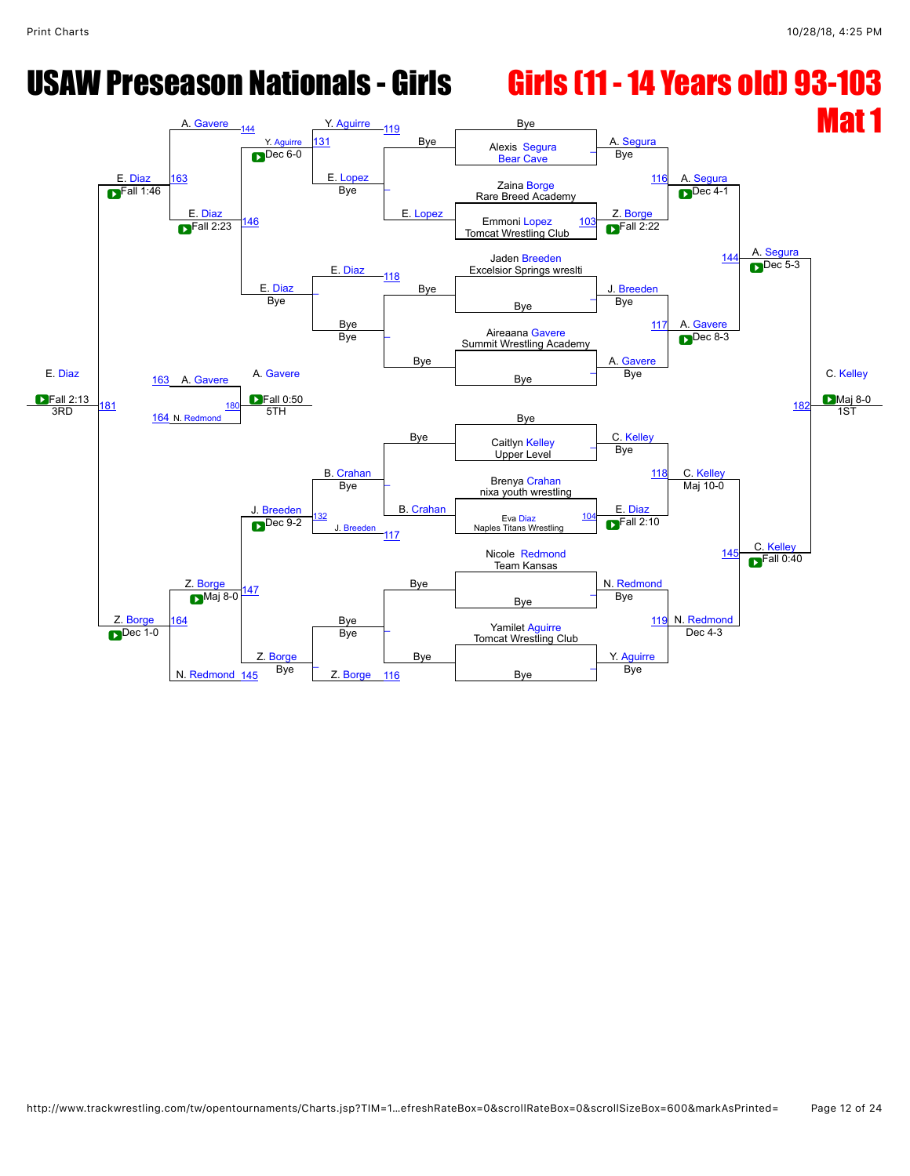## USAW Preseason Nationals - Girls Girls (11 - 14 Years old) 93-103

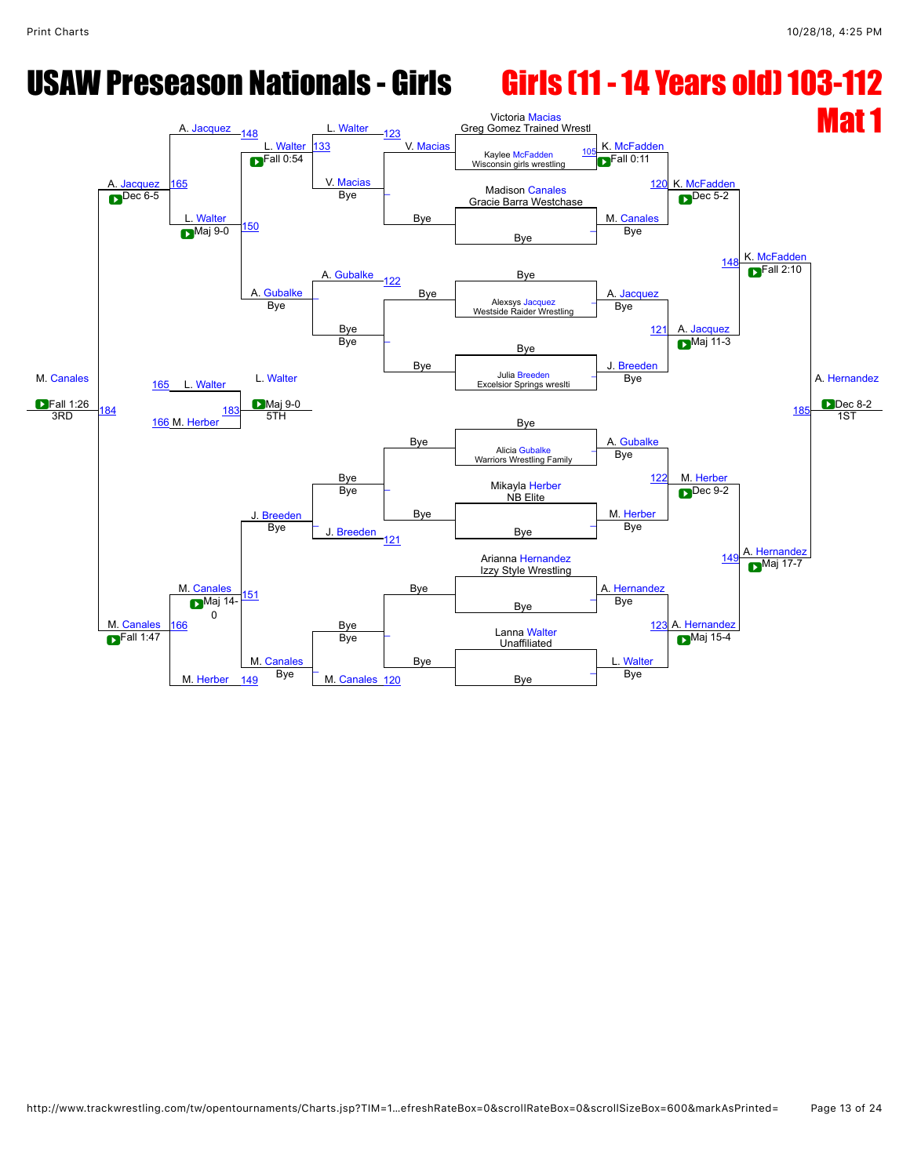### USAW Preseason Nationals - Girls Girls (11 - 14 Years old) 103-112

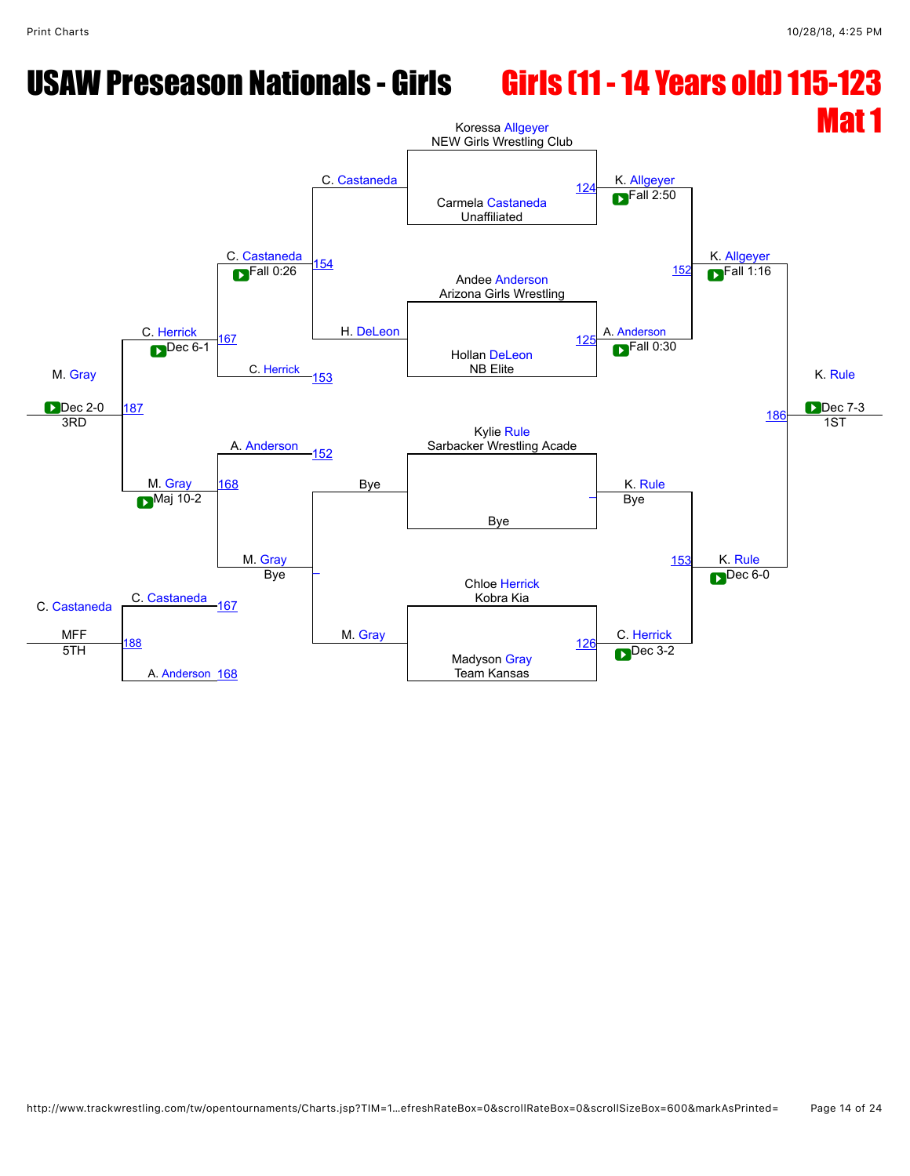### USAW Preseason Nationals - Girls Girls (11 - 14 Years old) 115-123

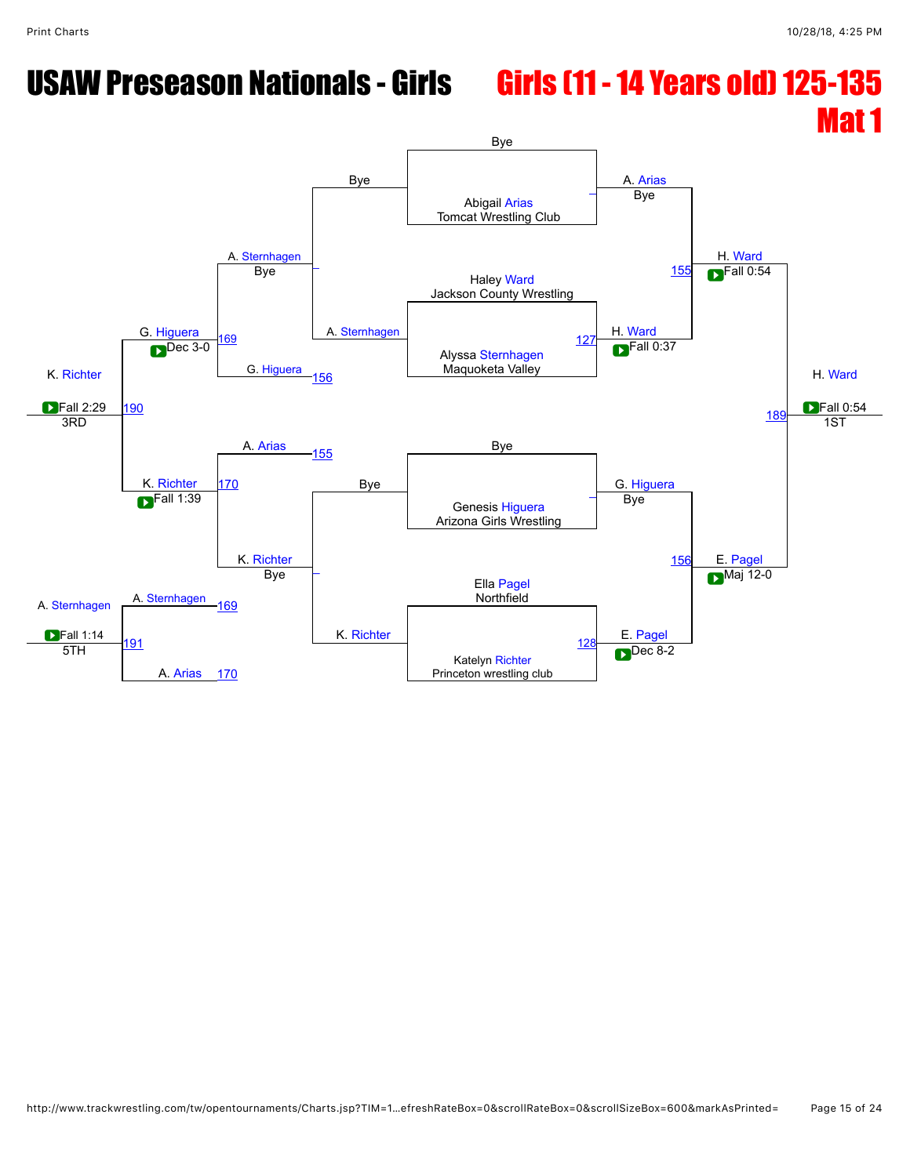# USAW Preseason Nationals - Girls Girls (11 - 14 Years old) 125-135

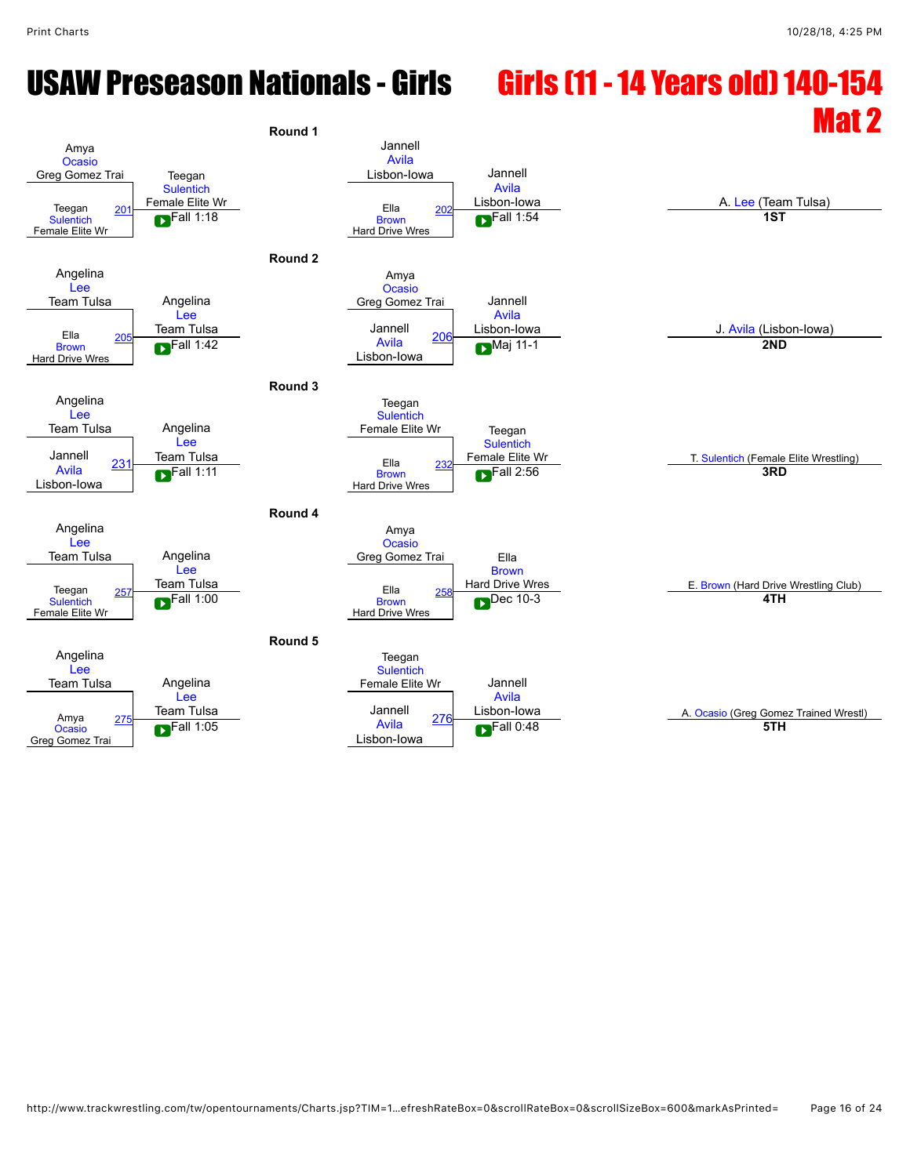# USAW Preseason Nationals - Girls Girls (11 - 14 Years old) 140-154

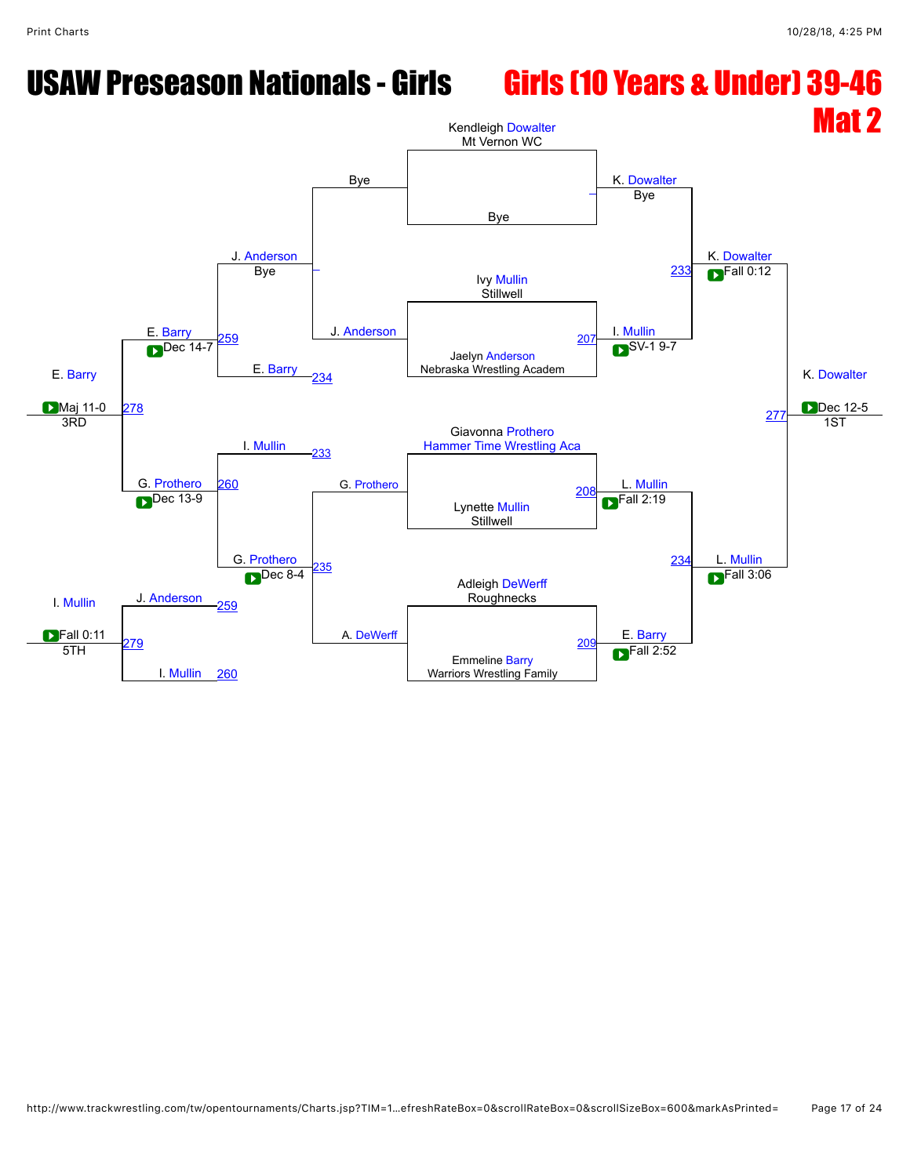### USAW Preseason Nationals - Girls Girls (10 Years & Under) 39-46

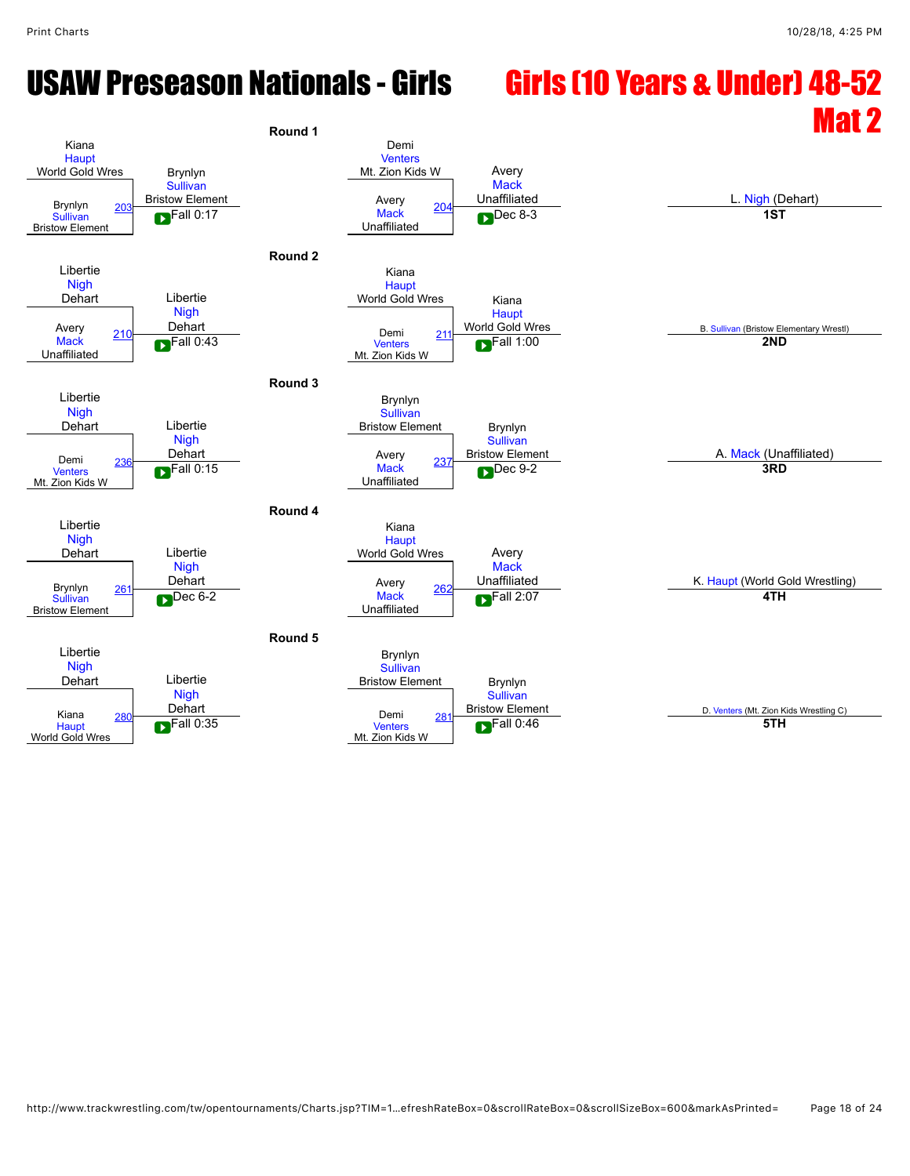# USAW Preseason Nationals - Girls Girls (10 Years & Under) 48-52

# $R_{\text{round 1}}$

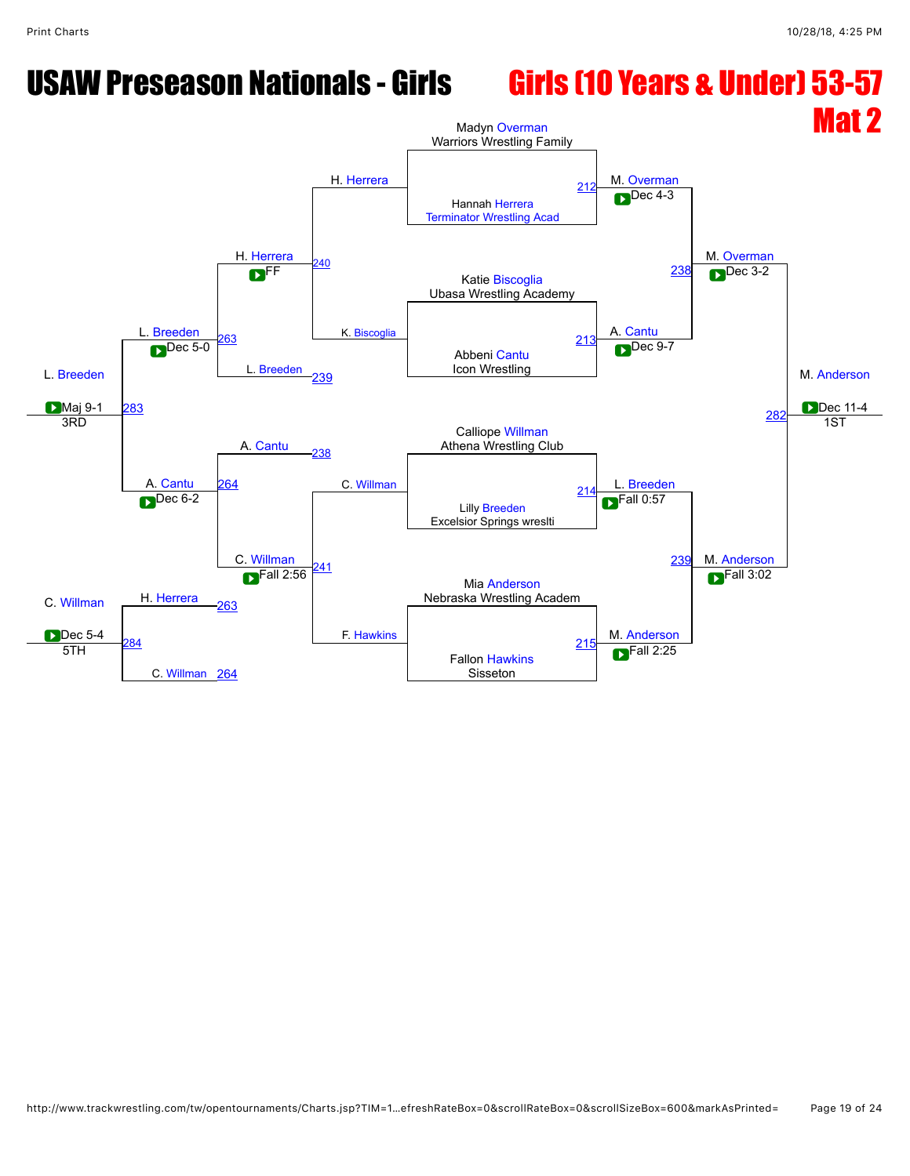### USAW Preseason Nationals - Girls Girls (10 Years & Under) 53-57

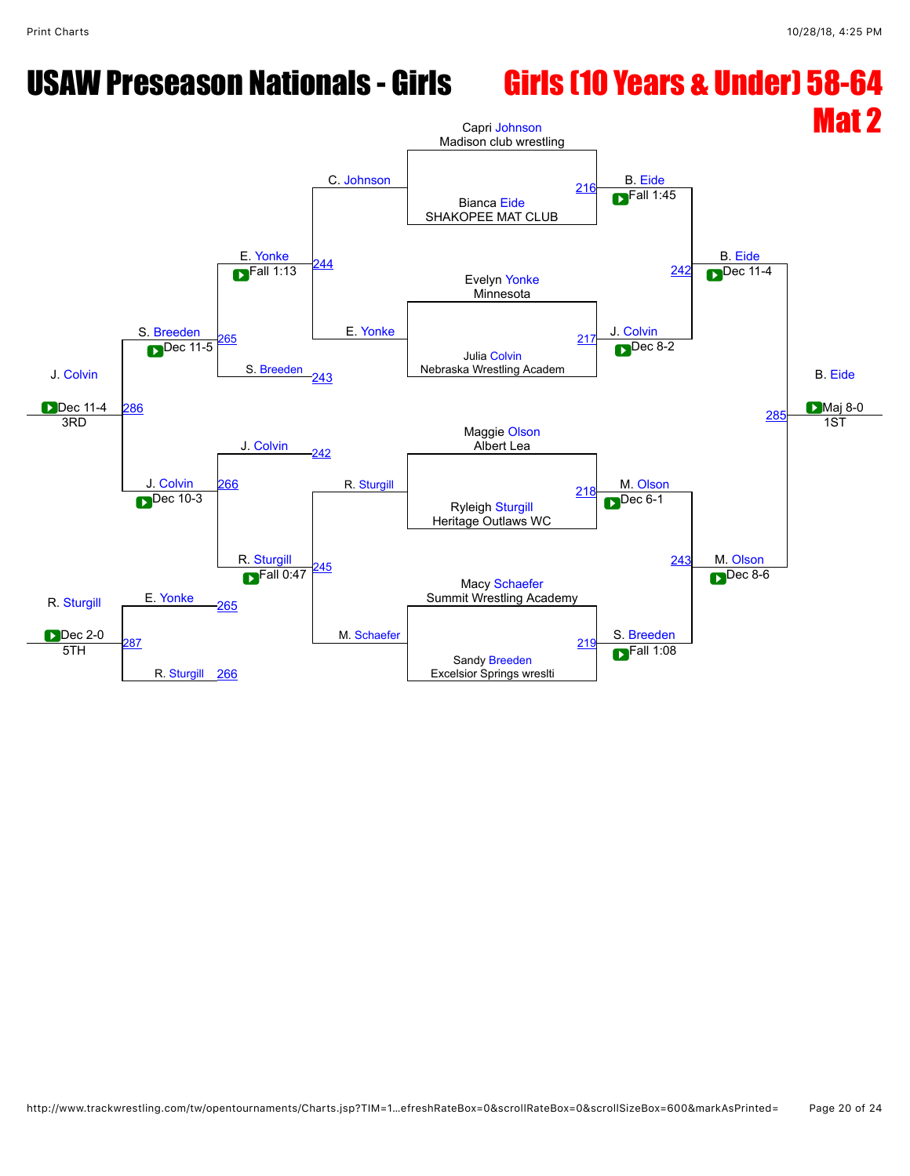## USAW Preseason Nationals - Girls Girls (10 Years & Under) 58-64

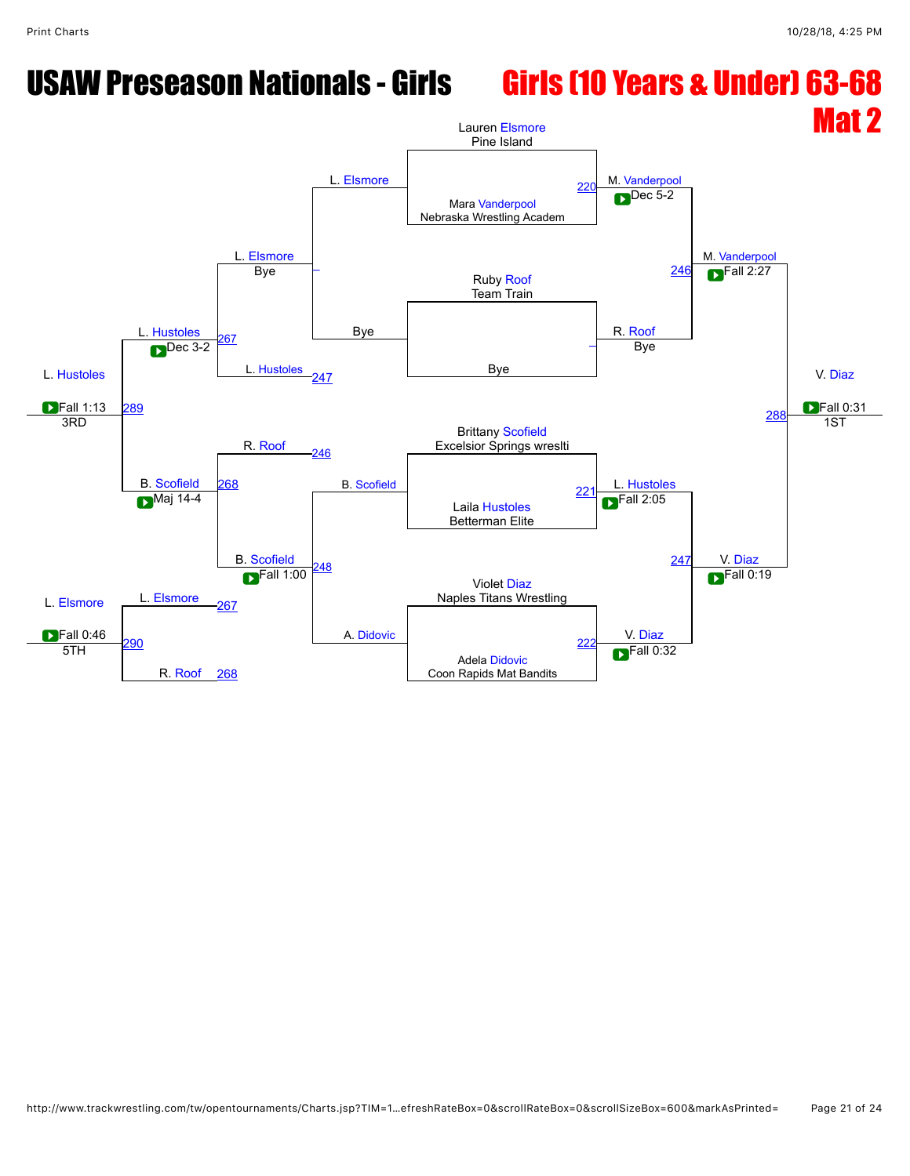### USAW Preseason Nationals - Girls Girls (10 Years & Under) 63-68

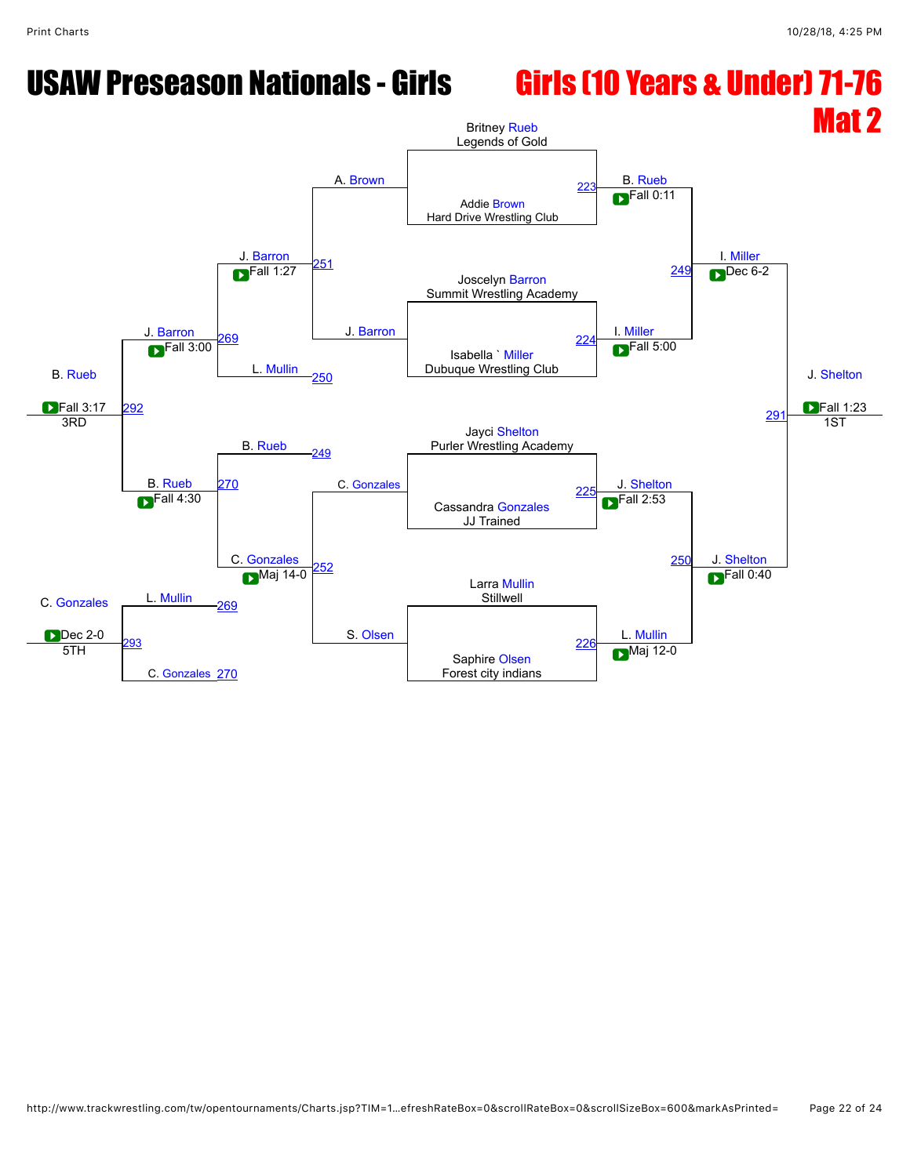### USAW Preseason Nationals - Girls Girls (10 Years & Under) 71-76

### Mat 2 B. [Rueb](javascript:viewProfile(2025258009)) **D**Fall 3:17 J. [Barron](javascript:viewProfile(525010132)) J. [Barron](javascript:viewProfile(525010132)) A. [Brown](javascript:viewProfile(40395076)) Britney [Rueb](javascript:viewProfile(2025258009)) Legends of Gold B. [Rueb](javascript:viewProfile(2025258009)) I. [Miller](javascript:viewProfile(148835132)) J. [Shelton](javascript:viewProfile(73510096)) **Fall 1:23** Addie [Brown](javascript:viewProfile(40395076)) Hard Drive Wrestling Club 22 [251](javascript:openBoutSheet(6,) J. [Barron](javascript:viewProfile(525010132))  $\blacksquare$ Fall 0:11 **D** Fall 1:27 **D** Societyn [Barron](javascript:viewProfile(525010132)) **CONSISTENT** Summit Wrestling Academy  $F$ all 1:27 I. [Miller](javascript:viewProfile(148835132)) **[249](javascript:openBoutSheet(5,)** Dec 6-2 [269](javascript:openBoutSheet(9,) L. [Mullin](javascript:viewProfile(109378096)) **D** Fall 3:00 Dubuque Wrestling Club [224](javascript:openBoutSheet(2,) [292](javascript:openBoutSheet(12,) Fall 3:00 [250](javascript:openBoutSheet(7,)  $F$ all 5:00  $29<sup>1</sup>$ B. [Rueb](javascript:viewProfile(2025258009)) Jayci [Shelton](javascript:viewProfile(73510096)) Purler Wrestling Academy 3RD B. [Rueb](javascript:viewProfile(2025258009)) [249](javascript:openBoutSheet(5,) C. [Gonzales](javascript:viewProfile(667086132)) J. [Shelton](javascript:viewProfile(73510096)) 1ST [270](javascript:openBoutSheet(10,) Cassandra [Gonzales](javascript:viewProfile(667086132)) JJ Trained  $22$ C. [Gonzales](javascript:viewProfile(667086132)) **Dec 2-0**  $F$ all 4:30 C. [Gonzales](javascript:viewProfile(667086132)) [252](javascript:openBoutSheet(8,) S. [Olsen](javascript:viewProfile(246731096))  $\overline{\phantom{1}}$ Fall 2:53 [250](javascript:openBoutSheet(7,) J. [Shelton](javascript:viewProfile(73510096)) L. [Mullin](javascript:viewProfile(109378096)) Larra [Mullin](javascript:viewProfile(109378096))<br>Stillwell Stillwell [269](javascript:openBoutSheet(9,)  $\sum$ Maj 14-0  $\sum$ L. [Mullin](javascript:viewProfile(109378096))  $F$ all 0:40 **93** C. [Gonzales](javascript:viewProfile(667086132)) [270](javascript:openBoutSheet(10,) Saphire [Olsen](javascript:viewProfile(246731096)) Forest city indians  $\frac{226}{5}$  $\frac{226}{5}$  $\frac{226}{5}$   $\frac{226}{5}$  $\blacksquare$ Maj 12-0 **D** Fall 3:17 292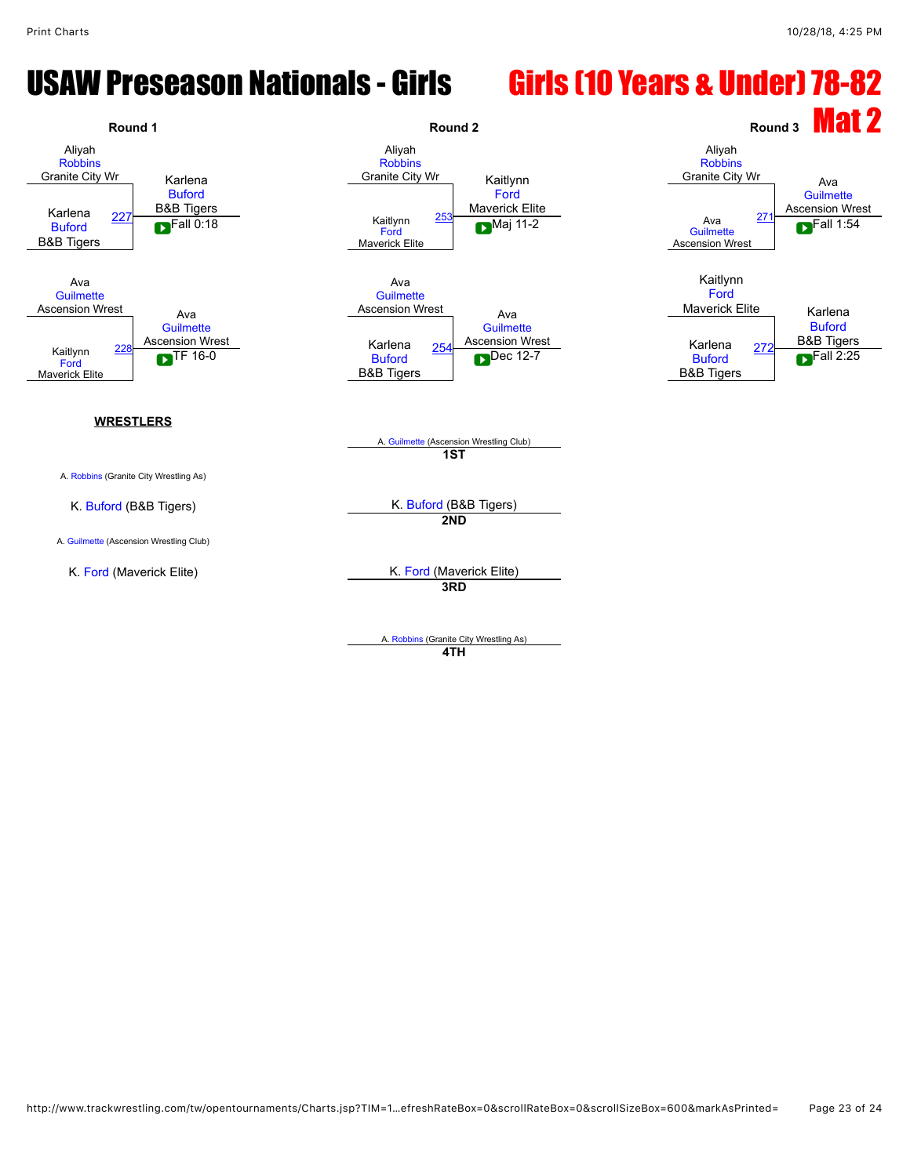### USAW Preseason Nationals - Girls Girls (10 Years & Under) 78-82



A. [Robbins](javascript:viewProfile(72944132)) (Granite City Wrestling As) **4TH**